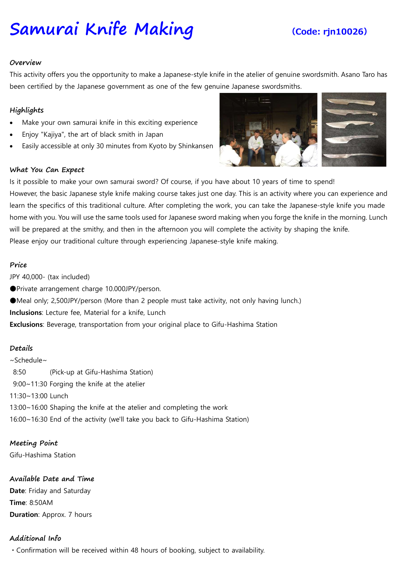# Samurai Knife Making (Code: rjn10026)

#### Overview

This activity offers you the opportunity to make a Japanese-style knife in the atelier of genuine swordsmith. Asano Taro has been certified by the Japanese government as one of the few genuine Japanese swordsmiths.

# Highlights

- Make your own samurai knife in this exciting experience
- Enjoy "Kajiya", the art of black smith in Japan
- Easily accessible at only 30 minutes from Kyoto by Shinkansen

### What You Can Expect



Is it possible to make your own samurai sword? Of course, if you have about 10 years of time to spend! However, the basic Japanese style knife making course takes just one day. This is an activity where you can experience and learn the specifics of this traditional culture. After completing the work, you can take the Japanese-style knife you made home with you. You will use the same tools used for Japanese sword making when you forge the knife in the morning. Lunch will be prepared at the smithy, and then in the afternoon you will complete the activity by shaping the knife. Please enjoy our traditional culture through experiencing Japanese-style knife making.

#### Price

JPY 40,000- (tax included)

●Private arrangement charge 10.000JPY/person.

●Meal only; 2,500JPY/person (More than 2 people must take activity, not only having lunch.)

Inclusions: Lecture fee, Material for a knife, Lunch

Exclusions: Beverage, transportation from your original place to Gifu-Hashima Station

### Details

~Schedule~ 8:50 (Pick-up at Gifu-Hashima Station) 9:00~11:30 Forging the knife at the atelier 11:30~13:00 Lunch 13:00~16:00 Shaping the knife at the atelier and completing the work 16:00~16:30 End of the activity (we'll take you back to Gifu-Hashima Station)

# Meeting Point

Gifu-Hashima Station

# Available Date and Time

Date: Friday and Saturday Time: 8:50AM **Duration: Approx. 7 hours** 

# Additional Info

・Confirmation will be received within 48 hours of booking, subject to availability.